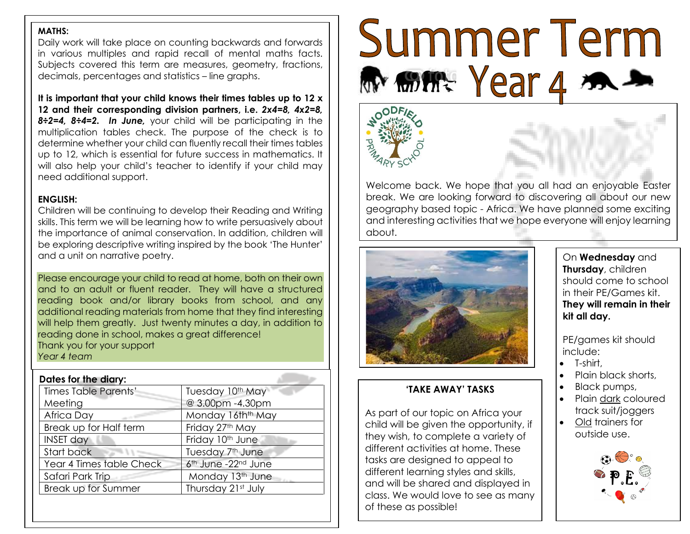#### **MATHS:**

Daily work will take place on counting backwards and forwards in various multiples and rapid recall of mental maths facts. Subjects covered this term are measures, geometry, fractions, decimals, percentages and statistics – line graphs.

**It is important that your child knows their times tables up to 12 x 12 and their corresponding division partners, i.e.** *2x4=8, 4x2=8, 8÷2=4, 8÷4=2. In June,* your child will be participating in the multiplication tables check. The purpose of the check is to determine whether your child can fluently recall their times tables up to 12, which is essential for future success in mathematics. It will also help your child's teacher to identify if your child may need additional support.

#### **ENGLISH:**

Children will be continuing to develop their Reading and Writing skills. This term we will be learning how to write persuasively about the importance of animal conservation. In addition, children will be exploring descriptive writing inspired by the book 'The Hunter' and a unit on narrative poetry.

Please encourage your child to read at home, both on their own and to an adult or fluent reader. They will have a structured reading book and/or library books from school, and any additional reading materials from home that they find interesting will help them greatly. Just twenty minutes a day, in addition to reading done in school, makes a great difference! Thank you for your support *Year 4 team*

| Tuesday 10th May<br>@ 3.00pm -4.30pm |
|--------------------------------------|
|                                      |
|                                      |
| Monday 16th <sup>th</sup> May        |
| Friday 27th May                      |
| Friday 10th June                     |
| Tuesday 7 <sup>th</sup> June         |
| 6th June -22nd June                  |
| Monday 13 <sup>th</sup> June         |
| Thursday 21st July                   |
|                                      |

# Summer Term Mom Year 4





Welcome back. We hope that you all had an enjoyable Easter break. We are looking forward to discovering all about our new geography based topic - Africa. We have planned some exciting and interesting activities that we hope everyone will enjoy learning about.



# **'TAKE AWAY' TASKS**

As part of our topic on Africa your child will be given the opportunity, if they wish, to complete a variety of different activities at home. These tasks are designed to appeal to different learning styles and skills, and will be shared and displayed in class. We would love to see as many of these as possible!

On **Wednesday** and **Thursday**, children should come to school in their PE/Games kit. **They will remain in their kit all day.**

PE/games kit should include:

• T-shirt,

l

- Plain black shorts,
- Black pumps,
- Plain dark coloured track suit/joggers
- Old trainers for outside use.